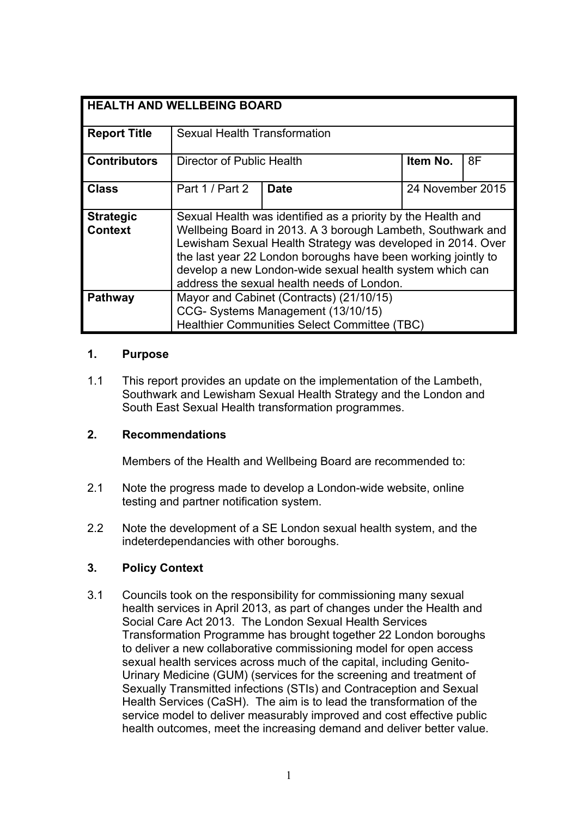| <b>HEALTH AND WELLBEING BOARD</b>  |                                                                                                                                                                                                                                                                                                                                                                       |             |                  |    |
|------------------------------------|-----------------------------------------------------------------------------------------------------------------------------------------------------------------------------------------------------------------------------------------------------------------------------------------------------------------------------------------------------------------------|-------------|------------------|----|
| <b>Report Title</b>                | <b>Sexual Health Transformation</b>                                                                                                                                                                                                                                                                                                                                   |             |                  |    |
| <b>Contributors</b>                | Director of Public Health                                                                                                                                                                                                                                                                                                                                             |             | Item No.         | 8F |
| <b>Class</b>                       | Part 1 / Part 2                                                                                                                                                                                                                                                                                                                                                       | <b>Date</b> | 24 November 2015 |    |
| <b>Strategic</b><br><b>Context</b> | Sexual Health was identified as a priority by the Health and<br>Wellbeing Board in 2013. A 3 borough Lambeth, Southwark and<br>Lewisham Sexual Health Strategy was developed in 2014. Over<br>the last year 22 London boroughs have been working jointly to<br>develop a new London-wide sexual health system which can<br>address the sexual health needs of London. |             |                  |    |
| <b>Pathway</b>                     | Mayor and Cabinet (Contracts) (21/10/15)<br>CCG- Systems Management (13/10/15)<br><b>Healthier Communities Select Committee (TBC)</b>                                                                                                                                                                                                                                 |             |                  |    |

#### **1. Purpose**

1.1 This report provides an update on the implementation of the Lambeth, Southwark and Lewisham Sexual Health Strategy and the London and South East Sexual Health transformation programmes.

# **2. Recommendations**

Members of the Health and Wellbeing Board are recommended to:

- 2.1 Note the progress made to develop a London-wide website, online testing and partner notification system.
- 2.2 Note the development of a SE London sexual health system, and the indeterdependancies with other boroughs.

# **3. Policy Context**

3.1 Councils took on the responsibility for commissioning many sexual health services in April 2013, as part of changes under the Health and Social Care Act 2013. The London Sexual Health Services Transformation Programme has brought together 22 London boroughs to deliver a new collaborative commissioning model for open access sexual health services across much of the capital, including Genito-Urinary Medicine (GUM) (services for the screening and treatment of Sexually Transmitted infections (STIs) and Contraception and Sexual Health Services (CaSH). The aim is to lead the transformation of the service model to deliver measurably improved and cost effective public health outcomes, meet the increasing demand and deliver better value.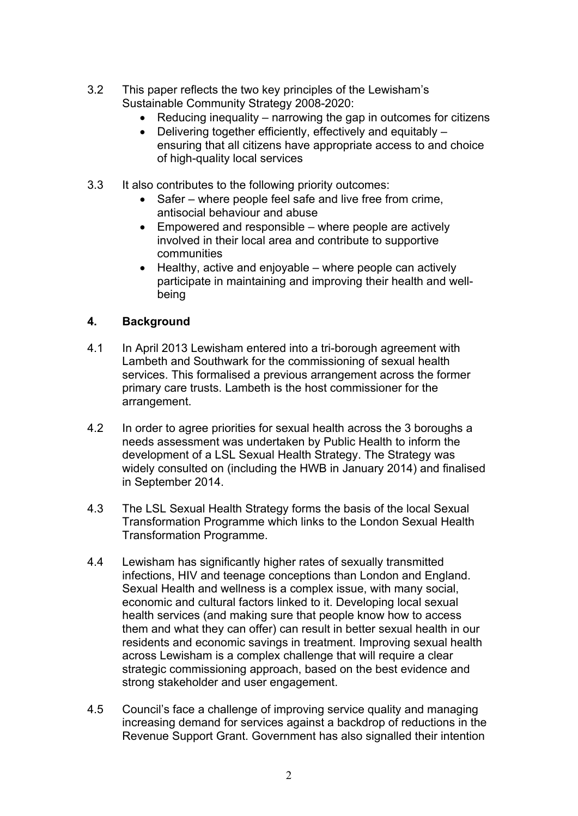- 3.2 This paper reflects the two key principles of the Lewisham's Sustainable Community Strategy 2008-2020:
	- Reducing inequality narrowing the gap in outcomes for citizens
	- Delivering together efficiently, effectively and equitably ensuring that all citizens have appropriate access to and choice of high-quality local services
- 3.3 It also contributes to the following priority outcomes:
	- Safer where people feel safe and live free from crime, antisocial behaviour and abuse
	- Empowered and responsible where people are actively involved in their local area and contribute to supportive communities
	- $\bullet$  Healthy, active and enjoyable where people can actively participate in maintaining and improving their health and wellbeing

# **4. Background**

- 4.1 In April 2013 Lewisham entered into a tri-borough agreement with Lambeth and Southwark for the commissioning of sexual health services. This formalised a previous arrangement across the former primary care trusts. Lambeth is the host commissioner for the arrangement.
- 4.2 In order to agree priorities for sexual health across the 3 boroughs a needs assessment was undertaken by Public Health to inform the development of a LSL Sexual Health Strategy. The Strategy was widely consulted on (including the HWB in January 2014) and finalised in September 2014.
- 4.3 The LSL Sexual Health Strategy forms the basis of the local Sexual Transformation Programme which links to the London Sexual Health Transformation Programme.
- 4.4 Lewisham has significantly higher rates of sexually transmitted infections, HIV and teenage conceptions than London and England. Sexual Health and wellness is a complex issue, with many social, economic and cultural factors linked to it. Developing local sexual health services (and making sure that people know how to access them and what they can offer) can result in better sexual health in our residents and economic savings in treatment. Improving sexual health across Lewisham is a complex challenge that will require a clear strategic commissioning approach, based on the best evidence and strong stakeholder and user engagement.
- 4.5 Council's face a challenge of improving service quality and managing increasing demand for services against a backdrop of reductions in the Revenue Support Grant. Government has also signalled their intention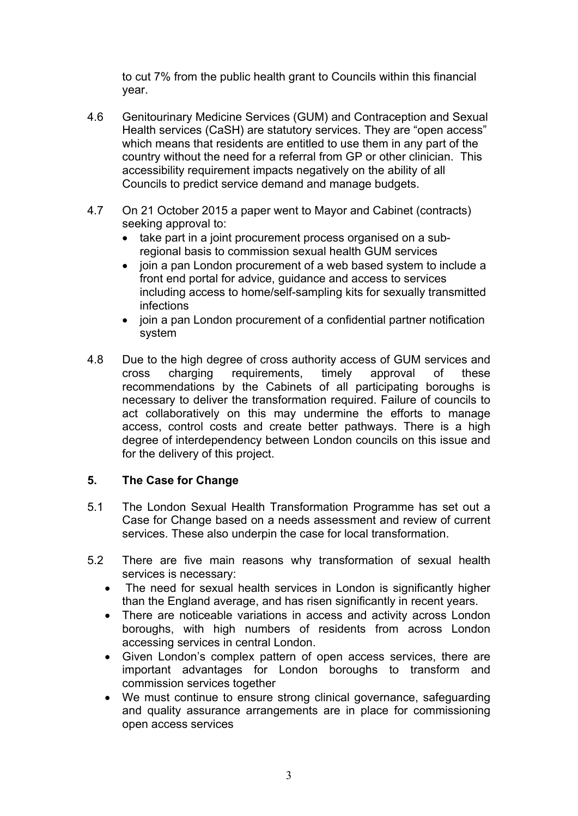to cut 7% from the public health grant to Councils within this financial year.

- 4.6 Genitourinary Medicine Services (GUM) and Contraception and Sexual Health services (CaSH) are statutory services. They are "open access" which means that residents are entitled to use them in any part of the country without the need for a referral from GP or other clinician. This accessibility requirement impacts negatively on the ability of all Councils to predict service demand and manage budgets.
- 4.7 On 21 October 2015 a paper went to Mayor and Cabinet (contracts) seeking approval to:
	- take part in a joint procurement process organised on a subregional basis to commission sexual health GUM services
	- join a pan London procurement of a web based system to include a front end portal for advice, guidance and access to services including access to home/self-sampling kits for sexually transmitted infections
	- join a pan London procurement of a confidential partner notification system
- 4.8 Due to the high degree of cross authority access of GUM services and cross charging requirements, timely approval of these recommendations by the Cabinets of all participating boroughs is necessary to deliver the transformation required. Failure of councils to act collaboratively on this may undermine the efforts to manage access, control costs and create better pathways. There is a high degree of interdependency between London councils on this issue and for the delivery of this project.

# **5. The Case for Change**

- 5.1 The London Sexual Health Transformation Programme has set out a Case for Change based on a needs assessment and review of current services. These also underpin the case for local transformation.
- 5.2 There are five main reasons why transformation of sexual health services is necessary:
	- The need for sexual health services in London is significantly higher than the England average, and has risen significantly in recent years.
	- There are noticeable variations in access and activity across London boroughs, with high numbers of residents from across London accessing services in central London.
	- Given London's complex pattern of open access services, there are important advantages for London boroughs to transform and commission services together
	- We must continue to ensure strong clinical governance, safeguarding and quality assurance arrangements are in place for commissioning open access services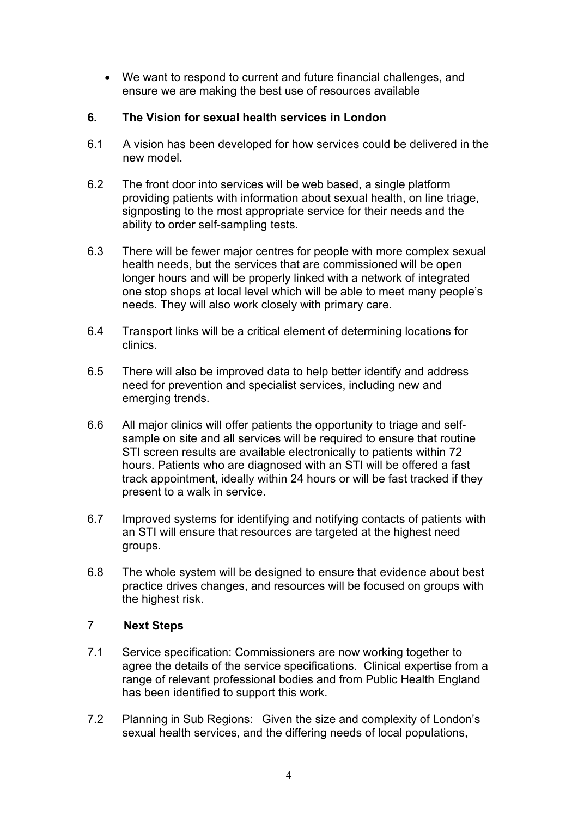We want to respond to current and future financial challenges, and ensure we are making the best use of resources available

# **6. The Vision for sexual health services in London**

- 6.1 A vision has been developed for how services could be delivered in the new model.
- 6.2 The front door into services will be web based, a single platform providing patients with information about sexual health, on line triage, signposting to the most appropriate service for their needs and the ability to order self-sampling tests.
- 6.3 There will be fewer major centres for people with more complex sexual health needs, but the services that are commissioned will be open longer hours and will be properly linked with a network of integrated one stop shops at local level which will be able to meet many people's needs. They will also work closely with primary care.
- 6.4 Transport links will be a critical element of determining locations for clinics.
- 6.5 There will also be improved data to help better identify and address need for prevention and specialist services, including new and emerging trends.
- 6.6 All major clinics will offer patients the opportunity to triage and selfsample on site and all services will be required to ensure that routine STI screen results are available electronically to patients within 72 hours. Patients who are diagnosed with an STI will be offered a fast track appointment, ideally within 24 hours or will be fast tracked if they present to a walk in service.
- 6.7 Improved systems for identifying and notifying contacts of patients with an STI will ensure that resources are targeted at the highest need groups.
- 6.8 The whole system will be designed to ensure that evidence about best practice drives changes, and resources will be focused on groups with the highest risk.

# 7……. **Next Steps**

- 7.1 Service specification: Commissioners are now working together to agree the details of the service specifications. Clinical expertise from a range of relevant professional bodies and from Public Health England has been identified to support this work.
- 7.2 Planning in Sub Regions: Given the size and complexity of London's sexual health services, and the differing needs of local populations,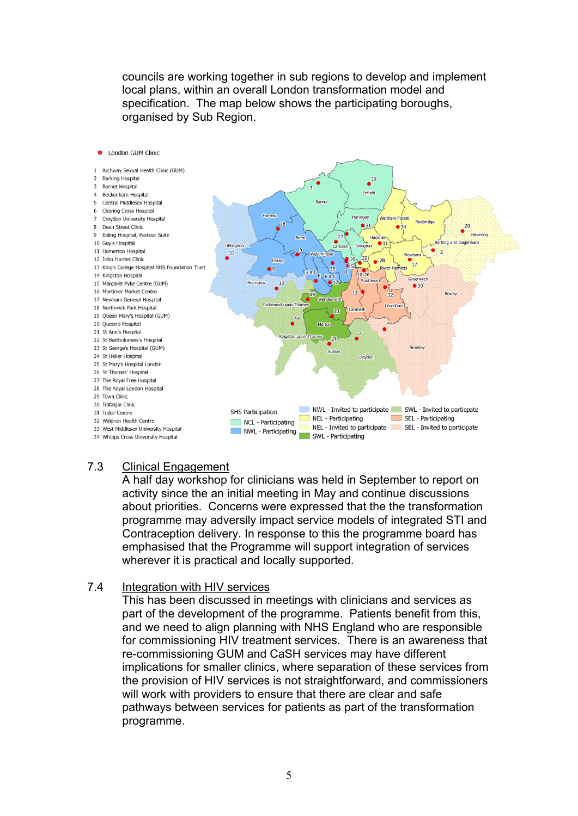councils are working together in sub regions to develop and implement local plans, within an overall London transformation model and specification. The map below shows the participating boroughs, organised by Sub Region.



# 7.3 Clinical Engagement

A half day workshop for clinicians was held in September to report on activity since the an initial meeting in May and continue discussions about priorities. Concerns were expressed that the the transformation programme may adversily impact service models of integrated STI and Contraception delivery. In response to this the programme board has emphasised that the Programme will support integration of services wherever it is practical and locally supported.

#### 7.4 Integration with HIV services

This has been discussed in meetings with clinicians and services as part of the development of the programme. Patients benefit from this, and we need to align planning with NHS England who are responsible for commissioning HIV treatment services. There is an awareness that re-commissioning GUM and CaSH services may have different implications for smaller clinics, where separation of these services from the provision of HIV services is not straightforward, and commissioners will work with providers to ensure that there are clear and safe pathways between services for patients as part of the transformation programme.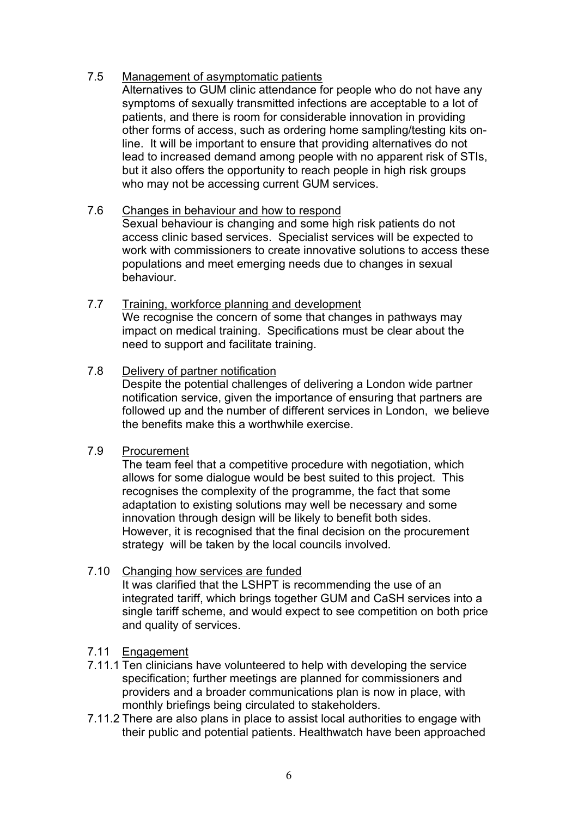### 7.5 Management of asymptomatic patients

Alternatives to GUM clinic attendance for people who do not have any symptoms of sexually transmitted infections are acceptable to a lot of patients, and there is room for considerable innovation in providing other forms of access, such as ordering home sampling/testing kits online. It will be important to ensure that providing alternatives do not lead to increased demand among people with no apparent risk of STIs, but it also offers the opportunity to reach people in high risk groups who may not be accessing current GUM services.

# 7.6 Changes in behaviour and how to respond

Sexual behaviour is changing and some high risk patients do not access clinic based services. Specialist services will be expected to work with commissioners to create innovative solutions to access these populations and meet emerging needs due to changes in sexual behaviour.

7.7 Training, workforce planning and development We recognise the concern of some that changes in pathways may impact on medical training. Specifications must be clear about the need to support and facilitate training.

#### 7.8 Delivery of partner notification

Despite the potential challenges of delivering a London wide partner notification service, given the importance of ensuring that partners are followed up and the number of different services in London, we believe the benefits make this a worthwhile exercise.

#### 7.9 Procurement

The team feel that a competitive procedure with negotiation, which allows for some dialogue would be best suited to this project. This recognises the complexity of the programme, the fact that some adaptation to existing solutions may well be necessary and some innovation through design will be likely to benefit both sides. However, it is recognised that the final decision on the procurement strategy will be taken by the local councils involved.

#### 7.10 Changing how services are funded

It was clarified that the LSHPT is recommending the use of an integrated tariff, which brings together GUM and CaSH services into a single tariff scheme, and would expect to see competition on both price and quality of services.

#### 7.11 Engagement

- 7.11.1 Ten clinicians have volunteered to help with developing the service specification; further meetings are planned for commissioners and providers and a broader communications plan is now in place, with monthly briefings being circulated to stakeholders.
- 7.11.2 There are also plans in place to assist local authorities to engage with their public and potential patients. Healthwatch have been approached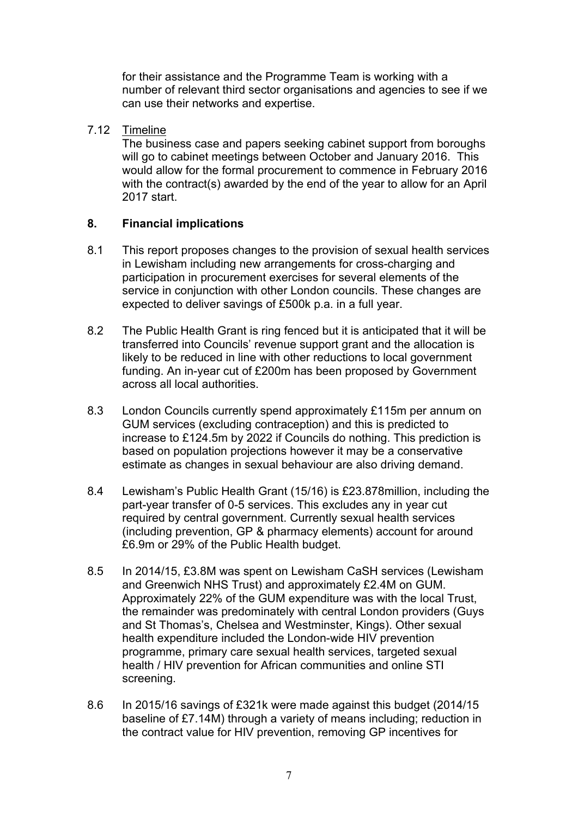for their assistance and the Programme Team is working with a number of relevant third sector organisations and agencies to see if we can use their networks and expertise.

7.12 Timeline

The business case and papers seeking cabinet support from boroughs will go to cabinet meetings between October and January 2016. This would allow for the formal procurement to commence in February 2016 with the contract(s) awarded by the end of the year to allow for an April 2017 start.

# **8. Financial implications**

- 8.1 This report proposes changes to the provision of sexual health services in Lewisham including new arrangements for cross-charging and participation in procurement exercises for several elements of the service in conjunction with other London councils. These changes are expected to deliver savings of £500k p.a. in a full year.
- 8.2 The Public Health Grant is ring fenced but it is anticipated that it will be transferred into Councils' revenue support grant and the allocation is likely to be reduced in line with other reductions to local government funding. An in-year cut of £200m has been proposed by Government across all local authorities.
- 8.3 London Councils currently spend approximately £115m per annum on GUM services (excluding contraception) and this is predicted to increase to £124.5m by 2022 if Councils do nothing. This prediction is based on population projections however it may be a conservative estimate as changes in sexual behaviour are also driving demand.
- 8.4 Lewisham's Public Health Grant (15/16) is £23.878million, including the part-year transfer of 0-5 services. This excludes any in year cut required by central government. Currently sexual health services (including prevention, GP & pharmacy elements) account for around £6.9m or 29% of the Public Health budget.
- 8.5 In 2014/15, £3.8M was spent on Lewisham CaSH services (Lewisham and Greenwich NHS Trust) and approximately £2.4M on GUM. Approximately 22% of the GUM expenditure was with the local Trust, the remainder was predominately with central London providers (Guys and St Thomas's, Chelsea and Westminster, Kings). Other sexual health expenditure included the London-wide HIV prevention programme, primary care sexual health services, targeted sexual health / HIV prevention for African communities and online STI screening.
- 8.6 In 2015/16 savings of £321k were made against this budget (2014/15 baseline of £7.14M) through a variety of means including; reduction in the contract value for HIV prevention, removing GP incentives for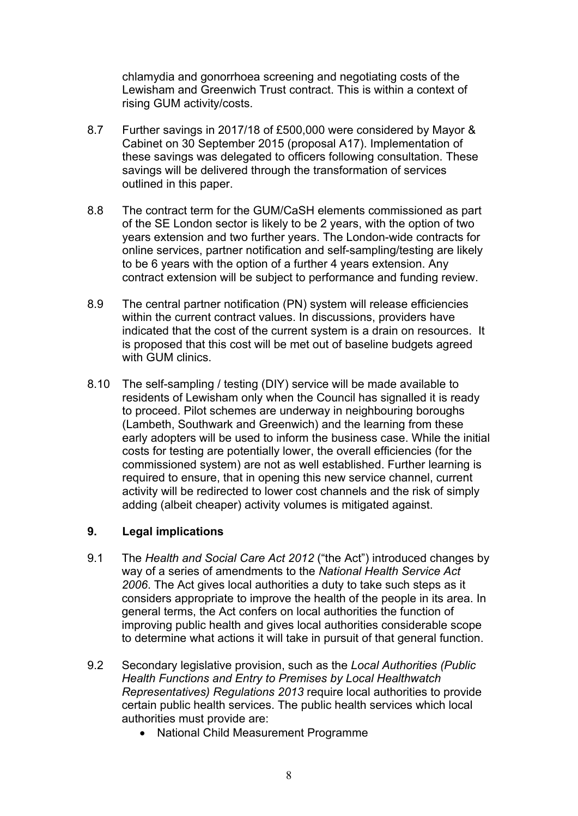chlamydia and gonorrhoea screening and negotiating costs of the Lewisham and Greenwich Trust contract. This is within a context of rising GUM activity/costs.

- 8.7 Further savings in 2017/18 of £500,000 were considered by Mayor & Cabinet on 30 September 2015 (proposal A17). Implementation of these savings was delegated to officers following consultation. These savings will be delivered through the transformation of services outlined in this paper.
- 8.8 The contract term for the GUM/CaSH elements commissioned as part of the SE London sector is likely to be 2 years, with the option of two years extension and two further years. The London-wide contracts for online services, partner notification and self-sampling/testing are likely to be 6 years with the option of a further 4 years extension. Any contract extension will be subject to performance and funding review.
- 8.9 The central partner notification (PN) system will release efficiencies within the current contract values. In discussions, providers have indicated that the cost of the current system is a drain on resources. It is proposed that this cost will be met out of baseline budgets agreed with GUM clinics.
- 8.10 The self-sampling / testing (DIY) service will be made available to residents of Lewisham only when the Council has signalled it is ready to proceed. Pilot schemes are underway in neighbouring boroughs (Lambeth, Southwark and Greenwich) and the learning from these early adopters will be used to inform the business case. While the initial costs for testing are potentially lower, the overall efficiencies (for the commissioned system) are not as well established. Further learning is required to ensure, that in opening this new service channel, current activity will be redirected to lower cost channels and the risk of simply adding (albeit cheaper) activity volumes is mitigated against.

#### **9. Legal implications**

- 9.1 The *Health and Social Care Act 2012* ("the Act") introduced changes by way of a series of amendments to the *National Health Service Act 2006*. The Act gives local authorities a duty to take such steps as it considers appropriate to improve the health of the people in its area. In general terms, the Act confers on local authorities the function of improving public health and gives local authorities considerable scope to determine what actions it will take in pursuit of that general function.
- 9.2 Secondary legislative provision, such as the *Local Authorities (Public Health Functions and Entry to Premises by Local Healthwatch Representatives) Regulations 2013* require local authorities to provide certain public health services. The public health services which local authorities must provide are:
	- National Child Measurement Programme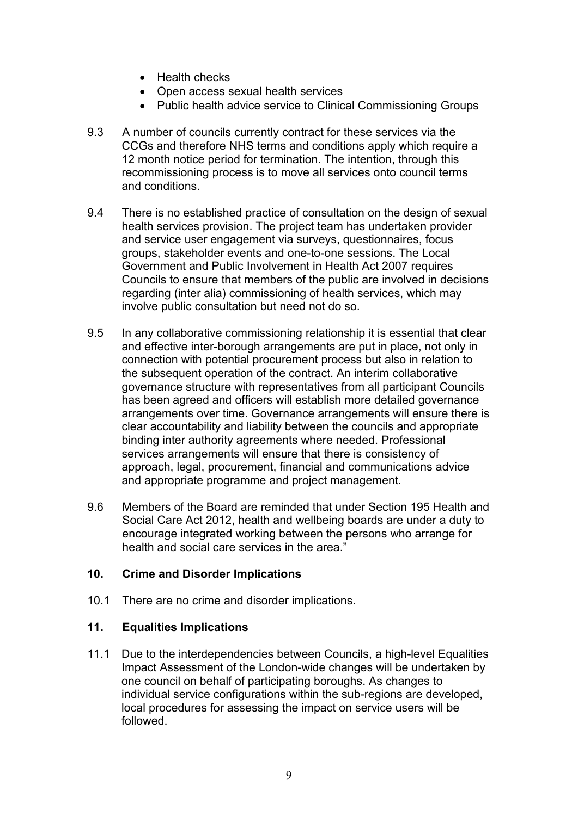- Health checks
- Open access sexual health services
- Public health advice service to Clinical Commissioning Groups
- 9.3 A number of councils currently contract for these services via the CCGs and therefore NHS terms and conditions apply which require a 12 month notice period for termination. The intention, through this recommissioning process is to move all services onto council terms and conditions.
- 9.4 There is no established practice of consultation on the design of sexual health services provision. The project team has undertaken provider and service user engagement via surveys, questionnaires, focus groups, stakeholder events and one-to-one sessions. The Local Government and Public Involvement in Health Act 2007 requires Councils to ensure that members of the public are involved in decisions regarding (inter alia) commissioning of health services, which may involve public consultation but need not do so.
- 9.5 In any collaborative commissioning relationship it is essential that clear and effective inter-borough arrangements are put in place, not only in connection with potential procurement process but also in relation to the subsequent operation of the contract. An interim collaborative governance structure with representatives from all participant Councils has been agreed and officers will establish more detailed governance arrangements over time. Governance arrangements will ensure there is clear accountability and liability between the councils and appropriate binding inter authority agreements where needed. Professional services arrangements will ensure that there is consistency of approach, legal, procurement, financial and communications advice and appropriate programme and project management.
- 9.6 Members of the Board are reminded that under Section 195 Health and Social Care Act 2012, health and wellbeing boards are under a duty to encourage integrated working between the persons who arrange for health and social care services in the area."

#### **10. Crime and Disorder Implications**

10.1 There are no crime and disorder implications.

#### **11. Equalities Implications**

11.1 Due to the interdependencies between Councils, a high-level Equalities Impact Assessment of the London-wide changes will be undertaken by one council on behalf of participating boroughs. As changes to individual service configurations within the sub-regions are developed, local procedures for assessing the impact on service users will be followed.